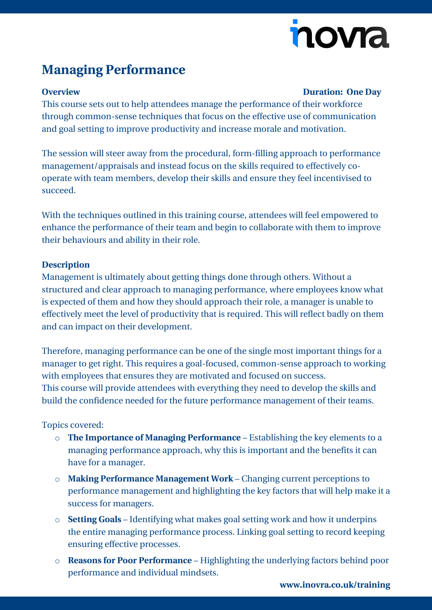# nova

### **Managing Performance**

#### **Overview Duration: One Day**

This course sets out to help attendees manage the performance of their workforce through common-sense techniques that focus on the effective use of communication and goal setting to improve productivity and increase morale and motivation.

The session will steer away from the procedural, form-filling approach to performance management/appraisals and instead focus on the skills required to effectively cooperate with team members, develop their skills and ensure they feel incentivised to succeed.

With the techniques outlined in this training course, attendees will feel empowered to enhance the performance of their team and begin to collaborate with them to improve their behaviours and ability in their role.

#### **Description**

Management is ultimately about getting things done through others. Without a structured and clear approach to managing performance, where employees know what is expected of them and how they should approach their role, a manager is unable to effectively meet the level of productivity that is required. This will reflect badly on them and can impact on their development.

Therefore, managing performance can be one of the single most important things for a manager to get right. This requires a goal-focused, common-sense approach to working with employees that ensures they are motivated and focused on success. This course will provide attendees with everything they need to develop the skills and build the confidence needed for the future performance management of their teams.

### Topics covered:

- o **The Importance of Managing Performance** Establishing the key elements to a managing performance approach, why this is important and the benefits it can have for a manager.
- o **Making Performance Management Work** Changing current perceptions to performance management and highlighting the key factors that will help make it a success for managers.
- o **Setting Goals** Identifying what makes goal setting work and how it underpins the entire managing performance process. Linking goal setting to record keeping ensuring effective processes.
- o **Reasons for Poor Performance** Highlighting the underlying factors behind poor performance and individual mindsets.

**[www.inovra.co.uk/training](http://www.inovra.co.uk/training)**